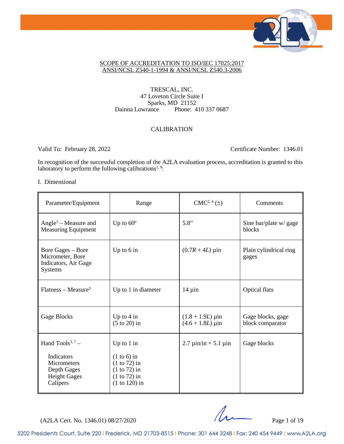

#### SCOPE OF ACCREDITATION TO ISO/IEC 17025:2017 ANSI/NCSL Z540-1-1994 & ANSI/NCSL Z540.3-2006

TRESCAL, INC. 47 Loveton Circle Suite I Sparks, MD 21152 Dainna Lowrance Phone: 410 337 0687

#### CALIBRATION

Valid To: February 28, 2022 Certificate Number: 1346.01

In recognition of the successful completion of the A2LA evaluation process, accreditation is granted to this laboratory to perform the following calibrations<sup>1, 9</sup>:

#### I. Dimensional

| Parameter/Equipment                                                                                                | Range                                                                                                  | $CMC2, 4(\pm)$                                                   | Comments                              |
|--------------------------------------------------------------------------------------------------------------------|--------------------------------------------------------------------------------------------------------|------------------------------------------------------------------|---------------------------------------|
| Angle <sup>3</sup> – Measure and<br><b>Measuring Equipment</b>                                                     | Up to $60^\circ$                                                                                       | 5.8''                                                            | Sine bar/plate w/ gage<br>blocks      |
| Bore Gages – Bore<br>Micrometer, Bore<br>Indicators, Air Gage<br>Systems                                           | Up to $6$ in                                                                                           | $(0.7R + 4L)$ µin                                                | Plain cylindrical ring<br>gages       |
| $Flatness - Measure3$                                                                                              | Up to 1 in diameter                                                                                    | $14 \mu$ in                                                      | <b>Optical flats</b>                  |
| Gage Blocks                                                                                                        | Up to $4 \text{ in}$<br>$(5 \text{ to } 20)$ in                                                        | $(1.8 + 1.9L) \,\mu \text{in}$<br>$(4.6 + 1.8L) \,\mu \text{in}$ | Gage blocks, gage<br>block comparator |
| Hand Tools <sup>3, 7</sup> –<br>Indicators<br><b>Micrometers</b><br>Depth Gages<br><b>Height Gages</b><br>Calipers | Up to $1$ in<br>$(1 to 6)$ in<br>$(1 to 72)$ in<br>$(1 to 72)$ in<br>$(1 to 72)$ in<br>$(1 to 120)$ in | $2.7 \mu$ in/in + 5.1 $\mu$ in                                   | Gage blocks                           |

 $(A2LA$  Cert. No. 1346.01) 08/27/2020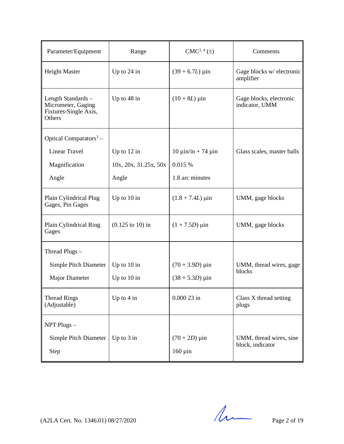| Parameter/Equipment                                                         | Range                               | $CMC2, 4(\pm)$                           | Comments                                    |
|-----------------------------------------------------------------------------|-------------------------------------|------------------------------------------|---------------------------------------------|
| <b>Height Master</b>                                                        | Up to $24$ in                       | $(39 + 6.7L) \,\mu \text{in}$            | Gage blocks w/ electronic<br>amplifier      |
| Length Standards -<br>Micrometer, Gaging<br>Fixtures-Single Axis,<br>Others | Up to 48 in                         | $(10 + 8L) \,\mu \text{in}$              | Gage blocks, electronic<br>indicator, UMM   |
| Optical Comparators <sup>3</sup> -                                          |                                     |                                          |                                             |
| Linear Travel                                                               | Up to $12$ in                       | $10 \mu \text{in/in} + 74 \mu \text{in}$ | Glass scales, master balls                  |
| Magnification                                                               | 10x, 20x, 31.25x, 50x               | 0.015%                                   |                                             |
| Angle                                                                       | Angle                               | 1.8 arc minutes                          |                                             |
| Plain Cylindrical Plug<br>Gages, Pin Gages                                  | Up to $10$ in                       | $(1.8 + 7.4L) \,\mu$ in                  | UMM, gage blocks                            |
| Plain Cylindrical Ring<br>Gages                                             | $(0.125 \text{ to } 10) \text{ in}$ | $(1 + 7.5D)$ µin                         | UMM, gage blocks                            |
| Thread Plugs -                                                              |                                     |                                          |                                             |
| Simple Pitch Diameter                                                       | Up to 10 in                         | $(70 + 3.9D)$ µin                        | UMM, thread wires, gage                     |
| Major Diameter                                                              | Up to $10$ in                       | $(38 + 5.3D) \,\mu \text{in}$            | blocks                                      |
| <b>Thread Rings</b><br>(Adjustable)                                         | Up to $4$ in                        | $0.00023$ in                             | Class X thread setting<br>plugs             |
| NPT Plugs -                                                                 |                                     |                                          |                                             |
| Simple Pitch Diameter<br>Step                                               | Up to $3$ in                        | $(70 + 2D)$ µin<br>$160 \mu$ in          | UMM, thread wires, sine<br>block, indicator |

 $(A2LA$  Cert. No. 1346.01) 08/27/2020 Page 2 of 19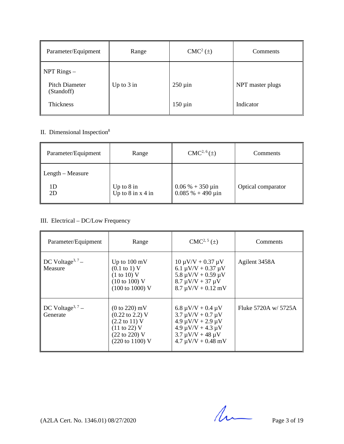| Parameter/Equipment                  | Range        | $CMC2(\pm)$  | Comments         |
|--------------------------------------|--------------|--------------|------------------|
| NPT Rings -<br><b>Pitch Diameter</b> | Up to $3$ in | $250 \mu$ in | NPT master plugs |
| (Standoff)<br>Thickness              |              | $150 \mu$ in | Indicator        |

# II. Dimensional Inspection<sup>8</sup>

| Parameter/Equipment          | Range                                                       | $CMC2, 6(\pm)$                                         | <b>Comments</b>    |
|------------------------------|-------------------------------------------------------------|--------------------------------------------------------|--------------------|
| $\parallel$ Length – Measure |                                                             |                                                        |                    |
| 1D.<br>2D                    | Up to $8 \text{ in}$<br>Up to $8 \text{ in} x 4 \text{ in}$ | $0.06\% + 350 \,\mu\text{in}$<br>$0.085% + 490 \mu$ in | Optical comparator |

# III. Electrical – DC/Low Frequency

| Parameter/Equipment                      | Range                                                                                                                                               | $CMC2, 5(\pm)$                                                                                                                                                            | Comments             |
|------------------------------------------|-----------------------------------------------------------------------------------------------------------------------------------------------------|---------------------------------------------------------------------------------------------------------------------------------------------------------------------------|----------------------|
| DC Voltage <sup>3, 7</sup> –<br>Measure  | Up to $100 \text{ mV}$<br>$(0.1 \text{ to } 1) \text{ V}$<br>(1 to 10) V<br>$(10 \text{ to } 100)$ V<br>$(100 \text{ to } 1000)$ V                  | $10 \mu V/V + 0.37 \mu V$<br>6.1 $\mu$ V/V + 0.37 $\mu$ V<br>$5.8 \mu V/V + 0.59 \mu V$<br>$8.7 \mu V/V + 37 \mu V$<br>$8.7 \mu V/V + 0.12 \ mV$                          | Agilent 3458A        |
| DC Voltage <sup>3, 7</sup> –<br>Generate | $(0 to 220)$ mV<br>$(0.22 \text{ to } 2.2)$ V<br>$(2.2 \text{ to } 11)$ V<br>$(11 \text{ to } 22)$ V<br>(22 to 220) V<br>$(220 \text{ to } 1100)$ V | $6.8 \mu V/V + 0.4 \mu V$<br>$3.7 \mu V/V + 0.7 \mu V$<br>$4.9 \mu V/V + 2.9 \mu V$<br>$4.9 \mu V/V + 4.3 \mu V$<br>$3.7 \mu V/V + 48 \mu V$<br>$4.7 \mu V/V + 0.48 \ mV$ | Fluke 5720A w/ 5725A |

 $(A2LA$  Cert. No. 1346.01) 08/27/2020 Page 3 of 19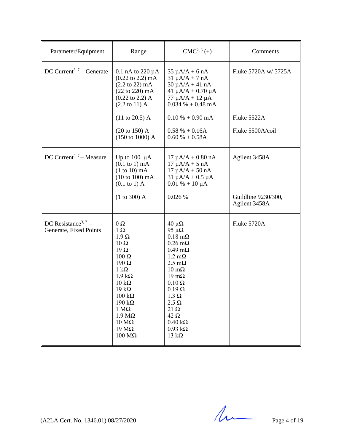| Parameter/Equipment                                       | Range                                                                                                                                                                                                                                                                                                                         | $CMC2, 5(\pm)$                                                                                                                                                                                                                                                                                                                                                    | Comments                                              |
|-----------------------------------------------------------|-------------------------------------------------------------------------------------------------------------------------------------------------------------------------------------------------------------------------------------------------------------------------------------------------------------------------------|-------------------------------------------------------------------------------------------------------------------------------------------------------------------------------------------------------------------------------------------------------------------------------------------------------------------------------------------------------------------|-------------------------------------------------------|
| DC Current <sup>3, 7</sup> – Generate                     | 0.1 nA to $220 \mu A$<br>$(0.22 \text{ to } 2.2) \text{ mA}$<br>$(2.2 \text{ to } 22) \text{ mA}$<br>$(22 \text{ to } 220) \text{ mA}$<br>$(0.22 \text{ to } 2.2)$ A<br>$(2.2 \text{ to } 11)$ A                                                                                                                              | $35 \mu A/A + 6 nA$<br>$31 \mu A/A + 7 nA$<br>$30 \mu A/A + 41 nA$<br>$41 \mu A/A + 0.70 \mu A$<br>$77 \mu A/A + 12 \mu A$<br>$0.034\% + 0.48 \text{ mA}$                                                                                                                                                                                                         | Fluke 5720A w/ 5725A                                  |
|                                                           | $(11 \text{ to } 20.5)$ A                                                                                                                                                                                                                                                                                                     | $0.10\% + 0.90 \text{ mA}$                                                                                                                                                                                                                                                                                                                                        | Fluke 5522A                                           |
|                                                           | $(20 \text{ to } 150)$ A<br>$(150 \text{ to } 1000)$ A                                                                                                                                                                                                                                                                        | $0.58 \% + 0.16A$<br>$0.60 % + 0.58A$                                                                                                                                                                                                                                                                                                                             | Fluke 5500A/coil                                      |
| DC Current <sup>3, 7</sup> – Measure                      | Up to $100 \mu A$<br>$(0.1 \text{ to } 1) \text{ mA}$<br>$(1 to 10)$ mA<br>$(10 to 100)$ mA<br>$(0.1 \text{ to } 1)$ A<br>(1 to 300) A                                                                                                                                                                                        | $17 \mu A/A + 0.80 \text{ nA}$<br>$17 \mu A/A + 5 nA$<br>$17 \mu A/A + 50 nA$<br>$31 \mu A/A + 0.5 \mu A$<br>$0.01\% + 10 \mu A$<br>0.026 %                                                                                                                                                                                                                       | Agilent 3458A<br>Guildline 9230/300,<br>Agilent 3458A |
|                                                           |                                                                                                                                                                                                                                                                                                                               |                                                                                                                                                                                                                                                                                                                                                                   |                                                       |
| DC Resistance <sup>3, 7</sup> –<br>Generate, Fixed Points | $0\,\Omega$<br>$1 \Omega$<br>$1.9 \Omega$<br>$10 \Omega$<br>$19\Omega$<br>$100 \Omega$<br>$190 \Omega$<br>1 k $\Omega$<br>$1.9 k\Omega$<br>$10 \text{ k}\Omega$<br>$19 k\Omega$<br>$100 \text{ k}\Omega$<br>$190 \text{ k}\Omega$<br>$1 M\Omega$<br>$1.9 M\Omega$<br>$10 \text{ M}\Omega$<br>$19 \text{ M}\Omega$<br>$100$ ΜΩ | $40 \mu\Omega$<br>95 $\mu\Omega$<br>$0.18$ m $\Omega$<br>$0.26 \text{ m}\Omega$<br>$0.49 \text{ m}\Omega$<br>$1.2 \text{ mA}$<br>$2.5 \text{ mA}$<br>$10 \text{ m}\Omega$<br>$19 \text{ mA}$<br>$0.10 \Omega$<br>$0.19 \Omega$<br>$1.3 \Omega$<br>$2.5 \Omega$<br>$21 \Omega$<br>$42 \Omega$<br>$0.40~\mathrm{k}\Omega$<br>$0.93 \text{ k}\Omega$<br>13 $k\Omega$ | Fluke 5720A                                           |

 $(A2LA$  Cert. No. 1346.01) 08/27/2020 Page 4 of 19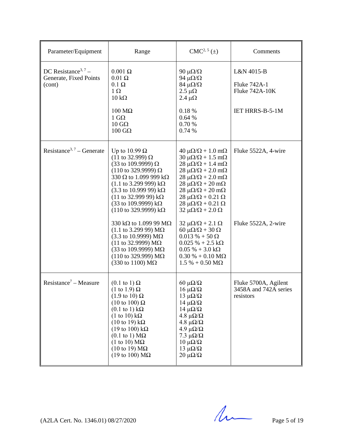| Parameter/Equipment                                                 | Range                                                                                                                                                                                                                                                                                                                                                                                                                                                                                                                                                                                                                                                       | $CMC2, 5(\pm)$                                                                                                                                                                                                                                                                                                                                                                                                                                                                                                                                                                                                                                                                  | Comments                                                               |
|---------------------------------------------------------------------|-------------------------------------------------------------------------------------------------------------------------------------------------------------------------------------------------------------------------------------------------------------------------------------------------------------------------------------------------------------------------------------------------------------------------------------------------------------------------------------------------------------------------------------------------------------------------------------------------------------------------------------------------------------|---------------------------------------------------------------------------------------------------------------------------------------------------------------------------------------------------------------------------------------------------------------------------------------------------------------------------------------------------------------------------------------------------------------------------------------------------------------------------------------------------------------------------------------------------------------------------------------------------------------------------------------------------------------------------------|------------------------------------------------------------------------|
| DC Resistance <sup>3, 7</sup> –<br>Generate, Fixed Points<br>(cont) | $0.001 \Omega$<br>$0.01 \Omega$<br>$0.1 \Omega$<br>$1 \Omega$<br>$10 \text{ k}\Omega$<br>$100 \text{ M}\Omega$<br>$1 \text{ G}\Omega$<br>$10 \text{ } G\Omega$<br>$100 \text{ } \text{G}\Omega$                                                                                                                                                                                                                                                                                                                                                                                                                                                             | 90 μ $\Omega/\Omega$<br>94 $\mu\Omega/\Omega$<br>$84 \mu\Omega/\Omega$<br>$2.5 \mu\Omega$<br>2.4 $\mu\Omega$<br>0.18%<br>0.64%<br>0.70 %<br>0.74 %                                                                                                                                                                                                                                                                                                                                                                                                                                                                                                                              | L&N 4015-B<br>Fluke 742A-1<br>Fluke 742A-10K<br><b>IET HRRS-B-5-1M</b> |
| Resistance <sup>3, 7</sup> – Generate                               | Up to 10.99 $\Omega$<br>(11 to 32.999) $\Omega$<br>(33 to 109.9999) $\Omega$<br>$(110 \text{ to } 329.9999) \Omega$<br>330 $\Omega$ to 1.099 999 k $\Omega$<br>$(1.1 \text{ to } 3.299 \text{ 999}) \text{ k}\Omega$<br>$(3.3 \text{ to } 10.999 \text{ } 99) \text{ k}\Omega$<br>(11 to 32.999 99) $k\Omega$<br>(33 to 109.9999) $k\Omega$<br>$(110 \text{ to } 329.9999) \text{ k}\Omega$<br>330 kΩ to 1.099 99 MΩ<br>$(1.1 \text{ to } 3.299 \text{ 99}) \text{ M}\Omega$<br>$(3.3 \text{ to } 10.9999) \text{ M}\Omega$<br>(11 to 32.9999) $M\Omega$<br>(33 to 109.9999) $M\Omega$<br>$(110$ to 329.999) ΜΩ<br>$(330 \text{ to } 1100) \text{ M}\Omega$ | $40 \mu\Omega/\Omega + 1.0 \text{ m}\Omega$<br>$30 \mu\Omega/\Omega + 1.5 \text{ mA}$<br>$28 \mu\Omega/\Omega + 1.4 \text{ m}\Omega$<br>$28 \mu\Omega/\Omega + 2.0 \text{ m}\Omega$<br>$28 \mu\Omega/\Omega + 2.0 \text{ m}\Omega$<br>$28 \mu\Omega/\Omega + 20 \text{ m}\Omega$<br>$28 \mu\Omega/\Omega + 20 \text{ m}\Omega$<br>$28 \mu\Omega/\Omega + 0.21 \Omega$<br>$28 \mu\Omega/\Omega + 0.21 \Omega$<br>$32 \mu\Omega/\Omega + 2.0 \Omega$<br>$32 \mu\Omega/\Omega + 2.1 \Omega$<br>$60 \mu\Omega/\Omega + 30 \Omega$<br>$0.013\% + 50\,\Omega$<br>$0.025 \% + 2.5 k\Omega$<br>$0.05\% + 3.0\,\mathrm{k}\Omega$<br>$0.30\% + 0.10\,\text{M}\Omega$<br>$1.5 % + 0.50 MΩ$ | Fluke 5522A, 4-wire<br>Fluke 5522A, 2-wire                             |
| Resistance <sup>7</sup> – Measure                                   | $(0.1 \text{ to } 1) \Omega$<br>$(1 \text{ to } 1.9) \Omega$<br>$(1.9 \text{ to } 10) \Omega$<br>$(10 \text{ to } 100) \Omega$<br>$(0.1 \text{ to } 1) \text{ k}\Omega$<br>$(1 \text{ to } 10) \text{ k}\Omega$<br>$(10 \text{ to } 19) \text{ k}\Omega$<br>$(19 \text{ to } 100) \text{ k}\Omega$<br>$(0.1 \text{ to } 1) \text{ M}\Omega$<br>$(1 \text{ to } 10) \text{ M}\Omega$<br>$(10 \text{ to } 19) \text{ M}\Omega$<br>(19 to 100) $\text{M}\Omega$                                                                                                                                                                                                | $60 \mu\Omega/\Omega$<br>$16~\mu\Omega/\Omega$<br>$13 \muΩ/Ω$<br>$14 \muΩ/Ω$<br>$14 \mu\Omega/\Omega$<br>4.8 μ $\Omega/\Omega$<br>4.8 μ $\Omega/\Omega$<br>4.9 μ $\Omega/\Omega$<br>7.3 μ $\Omega/\Omega$<br>$10 \muΩ/Ω$<br>$13 \mu\Omega/\Omega$<br>$20 \mu\Omega/\Omega$                                                                                                                                                                                                                                                                                                                                                                                                      | Fluke 5700A, Agilent<br>3458A and 742A series<br>resistors             |

 $(A2LA$  Cert. No. 1346.01) 08/27/2020 Page 5 of 19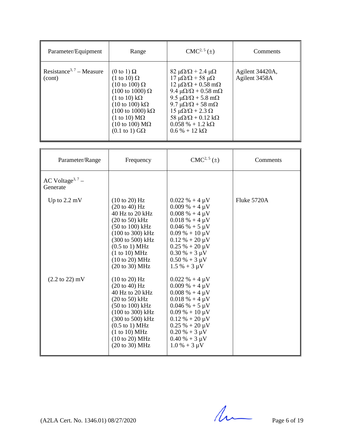| Parameter/Equipment                            | Range                                                                                                                                                                                                                                                                                                                                                                     | $CMC2, 5(\pm)$                                                                                                                                                                                                                                                                                                                                                                                                          | Comments                         |
|------------------------------------------------|---------------------------------------------------------------------------------------------------------------------------------------------------------------------------------------------------------------------------------------------------------------------------------------------------------------------------------------------------------------------------|-------------------------------------------------------------------------------------------------------------------------------------------------------------------------------------------------------------------------------------------------------------------------------------------------------------------------------------------------------------------------------------------------------------------------|----------------------------------|
| Resistance <sup>3, 7</sup> – Measure<br>(cont) | $(0 \text{ to } 1) \Omega$<br>$(1 \text{ to } 10) \Omega$<br>$(10 \text{ to } 100) \Omega$<br>$(100 \text{ to } 1000) \Omega$<br>$(1 \text{ to } 10) \text{ k}\Omega$<br>$(10 \text{ to } 100) \text{ k}\Omega$<br>$(100 \text{ to } 1000) \text{ k}\Omega$<br>$(1 \text{ to } 10) \text{ M}\Omega$<br>$(10 \text{ to } 100) \text{ M}\Omega$<br>$(0.1 \text{ to } 1)$ GQ | $82 \mu\Omega/\Omega$ + 2.4 $\mu\Omega$<br>$17 \mu\Omega/\Omega$ + 58 μ $\Omega$<br>$12 \mu\Omega/\Omega + 0.58 \text{ m}\Omega$<br>9.4 $\mu\Omega/\Omega$ + 0.58 m $\Omega$<br>$9.5 \mu\Omega/\Omega + 5.8 \text{ m}\Omega$<br>$9.7 \mu\Omega/\Omega + 58 \text{ m}\Omega$<br>$15 \mu\Omega/\Omega + 2.3 \Omega$<br>58 $\mu\Omega/\Omega$ + 0.12 k $\Omega$<br>$0.058\% + 1.2 \text{ k}\Omega$<br>$0.6\% + 12 k\Omega$ | Agilent 34420A,<br>Agilent 3458A |

| Parameter/Range                          | Frequency                                                                                                                                                                                                                                                           | $CMC2, 5(\pm)$                                                                                                                                                                                                                                                      | Comments    |
|------------------------------------------|---------------------------------------------------------------------------------------------------------------------------------------------------------------------------------------------------------------------------------------------------------------------|---------------------------------------------------------------------------------------------------------------------------------------------------------------------------------------------------------------------------------------------------------------------|-------------|
| AC Voltage <sup>3, 7</sup> –<br>Generate |                                                                                                                                                                                                                                                                     |                                                                                                                                                                                                                                                                     |             |
| Up to $2.2 \text{ mV}$                   | $(10 \text{ to } 20)$ Hz<br>$(20 \text{ to } 40)$ Hz<br>40 Hz to 20 kHz<br>$(20 \text{ to } 50)$ kHz<br>$(50 \text{ to } 100) \text{ kHz}$<br>(100 to 300) kHz<br>(300 to 500) kHz<br>$(0.5$ to 1) MHz<br>(1 to 10) MHz<br>(10 to 20) MHz<br>(20 to 30) MHz         | $0.022 \% + 4 \mu V$<br>$0.009\% + 4 \mu V$<br>$0.008 \% + 4 \mu V$<br>$0.018 \% + 4 \mu V$<br>$0.046 % + 5 \mu V$<br>$0.09\% + 10 \,\mu\text{V}$<br>$0.12 \% + 20 \mu V$<br>$0.25 \% + 20 \mu V$<br>$0.30\% + 3 \mu V$<br>$0.50\% + 3 \mu V$<br>$1.5 \% + 3 \mu V$ | Fluke 5720A |
| $(2.2 \text{ to } 22) \text{ mV}$        | (10 to 20) Hz<br>$(20 \text{ to } 40)$ Hz<br>40 Hz to 20 $kHz$<br>$(20 \text{ to } 50)$ kHz<br>$(50 \text{ to } 100) \text{ kHz}$<br>(100 to 300) kHz<br>(300 to 500) kHz<br>$(0.5 \text{ to } 1) \text{ MHz}$<br>(1 to 10) MHz<br>(10 to 20) MHz<br>(20 to 30) MHz | $0.022 \% + 4 \mu V$<br>$0.009\% + 4 \mu V$<br>$0.008\% + 4 \mu V$<br>$0.018 \% + 4 \mu V$<br>$0.046 % + 5 \mu V$<br>$0.09\% + 10 \,\mu\text{V}$<br>$0.12 \% + 20 \mu V$<br>$0.25 % + 20 \mu V$<br>$0.20\% + 3 \mu V$<br>$0.40\% + 3 \mu V$<br>$1.0\% + 3 \mu V$    |             |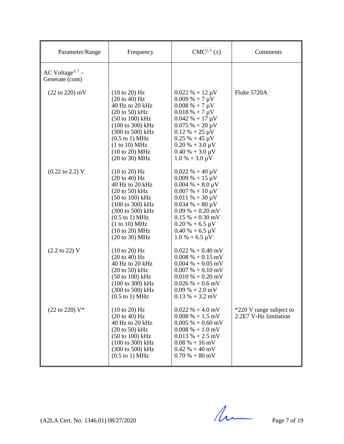| Parameter/Range                                 | Frequency                                                                                                                                                                                                                                                                                                                             | $CMC2, 5(\pm)$                                                                                                                                                                                                                                                                                                  | Comments                                         |
|-------------------------------------------------|---------------------------------------------------------------------------------------------------------------------------------------------------------------------------------------------------------------------------------------------------------------------------------------------------------------------------------------|-----------------------------------------------------------------------------------------------------------------------------------------------------------------------------------------------------------------------------------------------------------------------------------------------------------------|--------------------------------------------------|
| AC Voltage <sup>3, 7</sup> –<br>Generate (cont) |                                                                                                                                                                                                                                                                                                                                       |                                                                                                                                                                                                                                                                                                                 |                                                  |
| $(22 \text{ to } 220) \text{ mV}$               | $(10 \text{ to } 20)$ Hz<br>$(20 \text{ to } 40)$ Hz<br>40 Hz to 20 kHz<br>$(20 \text{ to } 50)$ kHz<br>$(50 \text{ to } 100) \text{ kHz}$<br>$(100 \text{ to } 300) \text{ kHz}$<br>$(300 \text{ to } 500) \text{ kHz}$<br>$(0.5 \text{ to } 1) \text{ MHz}$<br>(1 to 10) MHz<br>(10 to 20) MHz<br>$(20 \text{ to } 30) \text{ MHz}$ | $0.022 \% + 12 \mu V$<br>$0.009\% + 7 \mu V$<br>$0.008\% + 7 \mu V$<br>$0.018 \% + 7 \mu V$<br>$0.042 \% + 17 \mu V$<br>$0.075% + 20 \mu V$<br>$0.12 \% + 25 \mu V$<br>$0.25 \% + 45 \mu V$<br>$0.20\% + 3.0\,\mu\text{V}$<br>$0.40\% + 3.0\,\mu\text{V}$<br>$1.0\% + 3.0\,\mu\text{V}$                         | Fluke 5720A                                      |
| $(0.22 \text{ to } 2.2) \text{ V}$              | $(10 \text{ to } 20)$ Hz<br>$(20 \text{ to } 40)$ Hz<br>40 Hz to 20 kHz<br>$(20 \text{ to } 50)$ kHz<br>$(50 \text{ to } 100) \text{ kHz}$<br>$(100 \text{ to } 300) \text{ kHz}$<br>$(300 \text{ to } 500) \text{ kHz}$<br>$(0.5 \text{ to } 1) \text{ MHz}$<br>(1 to 10) MHz<br>(10 to 20) MHz<br>(20 to 30) MHz                    | $0.022 \% + 40 \mu V$<br>$0.009\% + 15 \mu V$<br>$0.004\% + 8.0 \,\mu\text{V}$<br>$0.007\% + 10 \,\mu\text{V}$<br>$0.011\% + 30 \mu V$<br>$0.034 \% + 80 \mu V$<br>$0.09\% + 0.20\,\text{mV}$<br>$0.15\% + 0.30$ mV<br>$0.20\% + 6.5\,\mu\text{V}$<br>$0.40\% + 6.5\,\mu\text{V}$<br>$1.0\% + 6.5\,\mu\text{V}$ |                                                  |
| $(2.2 \text{ to } 22)$ V                        | (10 to 20) Hz<br>$(20 \text{ to } 40) \text{ Hz}$<br>40 Hz to 20 kHz<br>$(20 \text{ to } 50)$ kHz<br>$(50 \text{ to } 100) \text{ kHz}$<br>(100 to 300) kHz<br>(300 to 500) kHz<br>$(0.5 \text{ to } 1) \text{ MHz}$                                                                                                                  | $0.022\% + 0.40 \text{ mV}$<br>$0.008\% + 0.15 \text{ mV}$<br>$0.004\% + 0.05$ mV<br>$0.007\% + 0.10\,\text{mV}$<br>$0.010\% + 0.20\,\text{mV}$<br>$0.026\% + 0.6$ mV<br>$0.09\% + 2.0\,\text{mV}$<br>$0.13 \% + 3.2$ mV                                                                                        |                                                  |
| (22 to 220) V*                                  | (10 to 20) Hz<br>$(20 \text{ to } 40) \text{ Hz}$<br>40 Hz to 20 kHz<br>$(20 \text{ to } 50)$ kHz<br>$(50 \text{ to } 100) \text{ kHz}$<br>$(100 \text{ to } 300) \text{ kHz}$<br>(300 to 500) kHz<br>$(0.5 \text{ to } 1) \text{ MHz}$                                                                                               | $0.022\% + 4.0$ mV<br>$0.008\% + 1.5$ mV<br>$0.005\% + 0.60$ mV<br>$0.008\% + 1.0 \text{ mV}$<br>$0.013\% + 2.5$ mV<br>$0.08\% + 16\,\text{mV}$<br>$0.42 \% + 40 mV$<br>$0.70\% + 80\,\mathrm{mV}$                                                                                                              | *220 V range subject to<br>2.2E7 V-Hz limitation |

 $(A2LA$  Cert. No. 1346.01) 08/27/2020 Page 7 of 19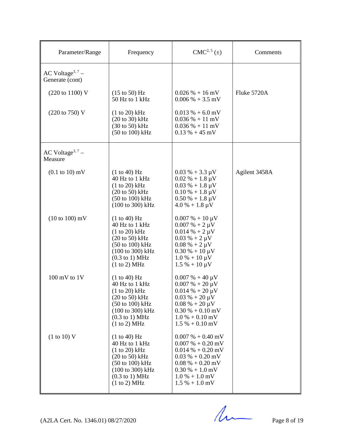| Parameter/Range                                 | Frequency                                                                                                                                                                                     | $CMC2, 5(\pm)$                                                                                                                                                                                                                    | Comments      |
|-------------------------------------------------|-----------------------------------------------------------------------------------------------------------------------------------------------------------------------------------------------|-----------------------------------------------------------------------------------------------------------------------------------------------------------------------------------------------------------------------------------|---------------|
| AC Voltage <sup>3, 7</sup> –<br>Generate (cont) |                                                                                                                                                                                               |                                                                                                                                                                                                                                   |               |
| (220 to 1100) V                                 | $(15 \text{ to } 50)$ Hz<br>50 Hz to 1 kHz                                                                                                                                                    | $0.026\% + 16 \text{ mV}$<br>$0.006\% + 3.5$ mV                                                                                                                                                                                   | Fluke 5720A   |
| (220 to 750) V                                  | $(1 to 20)$ kHz<br>$(20 \text{ to } 30)$ kHz<br>$(30 \text{ to } 50)$ kHz<br>$(50 \text{ to } 100) \text{ kHz}$                                                                               | $0.013\% + 6.0$ mV<br>$0.036\% + 11 \text{ mV}$<br>$0.036\% + 11\ mV$<br>$0.13\% + 45$ mV                                                                                                                                         |               |
| AC Voltage <sup>3, 7</sup> –<br>Measure         |                                                                                                                                                                                               |                                                                                                                                                                                                                                   |               |
| $(0.1 \text{ to } 10) \text{ mV}$               | (1 to 40) Hz<br>40 Hz to 1 kHz<br>$(1 to 20)$ kHz<br>$(20 \text{ to } 50)$ kHz<br>(50 to 100) kHz<br>(100 to 300) kHz                                                                         | $0.03\% + 3.3\,\mu\text{V}$<br>$0.02\% + 1.8 \,\mu\text{V}$<br>$0.03\% + 1.8 \,\mu\text{V}$<br>$0.10\% + 1.8 \,\mu\text{V}$<br>$0.50\% + 1.8\,\mu\text{V}$<br>$4.0\% + 1.8\,\mu\text{V}$                                          | Agilent 3458A |
| $(10 \text{ to } 100) \text{ mV}$               | (1 to 40) Hz<br>40 Hz to 1 kHz<br>$(1 to 20)$ kHz<br>$(20 \text{ to } 50)$ kHz<br>$(50 \text{ to } 100) \text{ kHz}$<br>(100 to 300) kHz<br>$(0.3 \text{ to } 1) \text{ MHz}$<br>(1 to 2) MHz | $0.007\% + 10 \,\mu\text{V}$<br>$0.007 % + 2 \mu V$<br>$0.014 \% + 2 \mu V$<br>$0.03 \% + 2 \mu V$<br>$0.08 \% + 2 \mu V$<br>$0.30\% + 10 \,\mu\text{V}$<br>$1.0\% + 10 \,\mu\text{V}$<br>$1.5\% + 10 \,\mu\text{V}$              |               |
| $100$ mV to $1V$                                | (1 to 40) Hz<br>40 Hz to 1 kHz<br>$(1 to 20)$ kHz<br>$(20 \text{ to } 50)$ kHz<br>$(50 \text{ to } 100) \text{ kHz}$<br>(100 to 300) kHz<br>$(0.3 \text{ to } 1) \text{ MHz}$<br>(1 to 2) MHz | $0.007\% + 40 \,\mu\text{V}$<br>$0.007\% + 20 \,\mu\text{V}$<br>$0.014\% + 20 \,\mu\text{V}$<br>$0.03\% + 20\,\mu\text{V}$<br>$0.08\% + 20 \,\mu\text{V}$<br>$0.30\% + 0.10\,\text{mV}$<br>$1.0\% + 0.10$ mV<br>$1.5\% + 0.10$ mV |               |
| (1 to 10) V                                     | (1 to 40) Hz<br>40 Hz to 1 kHz<br>$(1 to 20)$ kHz<br>$(20 \text{ to } 50)$ kHz<br>$(50 \text{ to } 100) \text{ kHz}$<br>(100 to 300) kHz<br>$(0.3 \text{ to } 1) \text{ MHz}$<br>(1 to 2) MHz | $0.007\% + 0.40 \text{ mV}$<br>$0.007 % + 0.20 mV$<br>$0.014\% + 0.20\,\text{mV}$<br>$0.03\% + 0.20\,\text{mV}$<br>$0.08\% + 0.20\,\text{mV}$<br>$0.30\% + 1.0\,\text{mV}$<br>$1.0\% + 1.0\,\text{mV}$<br>$1.5\% + 1.0$ mV        |               |

 $(A2LA$  Cert. No. 1346.01) 08/27/2020 Page 8 of 19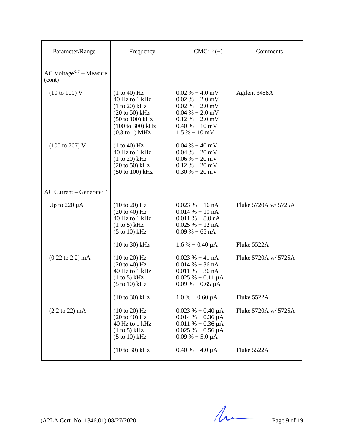| Parameter/Range                                                       | Frequency                                                                                                                                                                                                      | $CMC2, 5(\pm)$                                                                                                                                                                                      | Comments             |
|-----------------------------------------------------------------------|----------------------------------------------------------------------------------------------------------------------------------------------------------------------------------------------------------------|-----------------------------------------------------------------------------------------------------------------------------------------------------------------------------------------------------|----------------------|
| AC Voltage <sup>3, 7</sup> – Measure<br>(cont)                        |                                                                                                                                                                                                                |                                                                                                                                                                                                     |                      |
| $(10 \text{ to } 100) \text{ V}$<br>$(100 \text{ to } 707) \text{ V}$ | (1 to 40) Hz<br>40 Hz to 1 kHz<br>(1 to 20) kHz<br>$(20 \text{ to } 50)$ kHz<br>$(50 \text{ to } 100) \text{ kHz}$<br>$(100 \text{ to } 300) \text{ kHz}$<br>$(0.3 \text{ to } 1) \text{ MHz}$<br>(1 to 40) Hz | $0.02\% + 4.0$ mV<br>$0.02\% + 2.0$ mV<br>$0.02\% + 2.0\,\text{mV}$<br>$0.04\% + 2.0\ mV$<br>$0.12\% + 2.0$ mV<br>$0.40\% + 10\,\text{mV}$<br>$1.5\% + 10\,\text{mV}$<br>$0.04\% + 40\,\mathrm{mV}$ | Agilent 3458A        |
|                                                                       | 40 Hz to 1 kHz<br>$(1 to 20)$ kHz<br>$(20 \text{ to } 50)$ kHz<br>$(50 \text{ to } 100) \text{ kHz}$                                                                                                           | $0.04\% + 20\,\text{mV}$<br>$0.06\% + 20\,\text{mV}$<br>$0.12 \% + 20 mV$<br>$0.30\% + 20\,\text{mV}$                                                                                               |                      |
| AC Current – Generate <sup>3, 7</sup>                                 |                                                                                                                                                                                                                |                                                                                                                                                                                                     |                      |
| Up to $220 \mu A$                                                     | $(10 \text{ to } 20)$ Hz<br>$(20 \text{ to } 40)$ Hz<br>40 Hz to 1 kHz<br>(1 to 5) kHz<br>$(5 \text{ to } 10) \text{ kHz}$                                                                                     | $0.023 \% + 16 nA$<br>$0.014\% + 10\text{ nA}$<br>$0.011\% + 8.0nA$<br>$0.025% + 12nA$<br>$0.09\% + 65\text{ nA}$                                                                                   | Fluke 5720A w/ 5725A |
|                                                                       | $(10 \text{ to } 30) \text{ kHz}$                                                                                                                                                                              | $1.6\% + 0.40 \mu A$                                                                                                                                                                                | Fluke 5522A          |
| $(0.22 \text{ to } 2.2) \text{ mA}$                                   | $(10 \text{ to } 20)$ Hz<br>$(20 \text{ to } 40)$ Hz<br>40 Hz to 1 kHz<br>(1 to 5) kHz<br>$(5 \text{ to } 10) \text{ kHz}$                                                                                     | $0.023 \% + 41 nA$<br>$0.014\% + 36\text{ nA}$<br>$0.011\% + 36\text{ nA}$<br>$0.025 \% + 0.11 \mu A$<br>$0.09\% + 0.65\,\mu A$                                                                     | Fluke 5720A w/ 5725A |
|                                                                       | $(10 to 30)$ kHz                                                                                                                                                                                               | $1.0\% + 0.60 \mu A$                                                                                                                                                                                | Fluke 5522A          |
| $(2.2 \text{ to } 22) \text{ mA}$                                     | (10 to 20) Hz<br>$(20 \text{ to } 40) \text{ Hz}$<br>40 Hz to 1 kHz<br>(1 to 5) kHz<br>$(5 \text{ to } 10) \text{ kHz}$                                                                                        | $0.023 \% + 0.40 \mu A$<br>$0.014\% + 0.36 \mu A$<br>$0.011\% + 0.36 \mu A$<br>$0.025% + 0.56 \mu A$<br>$0.09\% + 5.0 \mu A$                                                                        | Fluke 5720A w/ 5725A |
|                                                                       | $(10 to 30)$ kHz                                                                                                                                                                                               | $0.40\% + 4.0\,\mu A$                                                                                                                                                                               | Fluke 5522A          |

 $(A2LA$  Cert. No. 1346.01) 08/27/2020 Page 9 of 19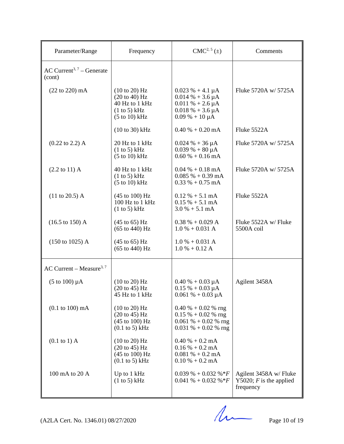| Parameter/Range                                 | Frequency                                                                                                       | $CMC2, 5(\pm)$                                                                                                           | Comments                                                         |
|-------------------------------------------------|-----------------------------------------------------------------------------------------------------------------|--------------------------------------------------------------------------------------------------------------------------|------------------------------------------------------------------|
| AC Current <sup>3, 7</sup> – Generate<br>(cont) |                                                                                                                 |                                                                                                                          |                                                                  |
| $(22 \text{ to } 220) \text{ mA}$               | (10 to 20) Hz<br>$(20 \text{ to } 40)$ Hz<br>40 Hz to 1 kHz<br>(1 to 5) kHz<br>$(5 \text{ to } 10) \text{ kHz}$ | $0.023 \% + 4.1 \mu A$<br>$0.014\% + 3.6 \mu A$<br>$0.011\% + 2.6 \mu A$<br>$0.018\% + 3.6 \mu A$<br>$0.09\% + 10 \mu A$ | Fluke 5720A w/ 5725A                                             |
|                                                 | $(10 to 30)$ kHz                                                                                                | $0.40\% + 0.20\text{ mA}$                                                                                                | Fluke 5522A                                                      |
| $(0.22 \text{ to } 2.2)$ A                      | 20 Hz to 1 kHz<br>(1 to 5) kHz<br>$(5 \text{ to } 10) \text{ kHz}$                                              | $0.024 % + 36 \mu A$<br>$0.039\% + 80 \mu A$<br>$0.60\% + 0.16$ mA                                                       | Fluke 5720A w/ 5725A                                             |
| $(2.2 \text{ to } 11) \text{ A}$                | 40 Hz to 1 kHz<br>(1 to 5) kHz<br>$(5 \text{ to } 10) \text{ kHz}$                                              | $0.04\% + 0.18 \text{ mA}$<br>$0.085\% + 0.39 \text{ mA}$<br>$0.33\% + 0.75 \text{ mA}$                                  | Fluke 5720A w/ 5725A                                             |
| $(11 \text{ to } 20.5)$ A                       | $(45 \text{ to } 100) \text{ Hz}$<br>100 Hz to 1 kHz<br>(1 to 5) kHz                                            | $0.12\% + 5.1 \text{ mA}$<br>$0.15\% + 5.1 \text{ mA}$<br>$3.0\% + 5.1 \text{ mA}$                                       | Fluke 5522A                                                      |
| $(16.5 \text{ to } 150) \text{ A}$              | $(45 \text{ to } 65)$ Hz<br>$(65 \text{ to } 440) \text{ Hz}$                                                   | $0.38 % + 0.029 A$<br>$1.0 % + 0.031 A$                                                                                  | Fluke 5522A w/ Fluke<br>5500A coil                               |
| $(150 \text{ to } 1025)$ A                      | $(45 \text{ to } 65)$ Hz<br>$(65 \text{ to } 440) \text{ Hz}$                                                   | $1.0 % + 0.031 A$<br>$1.0 % + 0.12 A$                                                                                    |                                                                  |
| AC Current – Measure <sup>3, 7</sup>            |                                                                                                                 |                                                                                                                          |                                                                  |
| $(5 \text{ to } 100) \mu\text{A}$               | (10 to 20) Hz<br>$(20 \text{ to } 45)$ Hz<br>45 Hz to 1 kHz                                                     | $0.40\% + 0.03 \mu A$<br>$0.15% + 0.03 \mu A$<br>$0.061 \% + 0.03 \mu A$                                                 | Agilent 3458A                                                    |
| $(0.1 \text{ to } 100) \text{ mA}$              | (10 to 20) Hz<br>$(20 \text{ to } 45)$ Hz<br>$(45 \text{ to } 100) \text{ Hz}$<br>$(0.1$ to 5) kHz              | $0.40\% + 0.02\%$ rng<br>$0.15 \% + 0.02 \%$ rng<br>$0.061 \% + 0.02 \%$ rng<br>$0.031\% + 0.02\%$ rng                   |                                                                  |
| $(0.1 \text{ to } 1)$ A                         | $(10 \text{ to } 20)$ Hz<br>$(20 \text{ to } 45)$ Hz<br>$(45 \text{ to } 100) \text{ Hz}$<br>$(0.1$ to 5) kHz   | $0.40\% + 0.2 \text{ mA}$<br>$0.16\% + 0.2 \text{ mA}$<br>$0.081\% + 0.2 \text{ mA}$<br>$0.10\% + 0.2 \text{ mA}$        |                                                                  |
| 100 mA to 20 A                                  | Up to 1 kHz<br>(1 to 5) kHz                                                                                     | $0.039\% + 0.032\% * F$<br>$0.041\% + 0.032\% * F$                                                                       | Agilent 3458A w/ Fluke<br>Y5020; $F$ is the applied<br>frequency |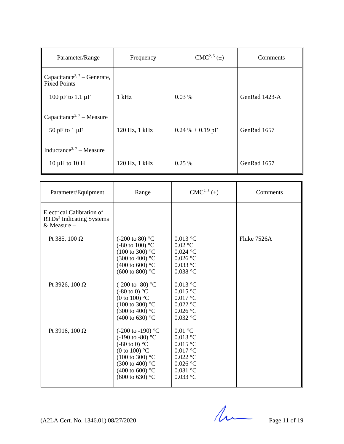| Parameter/Range                                                | Frequency     | $CMC2, 5(\pm)$     | Comments      |
|----------------------------------------------------------------|---------------|--------------------|---------------|
| Capacitance <sup>3, 7</sup> – Generate,<br><b>Fixed Points</b> |               |                    |               |
| 100 pF to 1.1 $\mu$ F                                          | $1$ kHz       | 0.03%              | GenRad 1423-A |
| Capacitance <sup>3, 7</sup> – Measure                          |               |                    |               |
| 50 pF to $1 \mu$ F                                             | 120 Hz, 1 kHz | $0.24 % + 0.19 pF$ | GenRad 1657   |
| Inductance <sup>3, 7</sup> – Measure                           |               |                    |               |
| $10 \mu H$ to $10 \mu H$                                       | 120 Hz, 1 kHz | $0.25\%$           | GenRad 1657   |

| Parameter/Equipment                                                                         | Range                                                                                                                                                                                                                                             | CMC <sup>2, 5</sup> (±)                                                                                     | Comments    |
|---------------------------------------------------------------------------------------------|---------------------------------------------------------------------------------------------------------------------------------------------------------------------------------------------------------------------------------------------------|-------------------------------------------------------------------------------------------------------------|-------------|
| <b>Electrical Calibration of</b><br>RTDs <sup>3</sup> Indicating Systems<br>$&$ Measure $-$ |                                                                                                                                                                                                                                                   |                                                                                                             |             |
| Pt 385, 100 $\Omega$                                                                        | $(-200 \text{ to } 80)$ °C<br>$(-80 \text{ to } 100)$ °C<br>$(100 \text{ to } 300)$ °C<br>$(300 \text{ to } 400)$ °C<br>(400 to 600) $^{\circ}$ C<br>$(600 \text{ to } 800)$ °C                                                                   | $0.013$ °C<br>$0.02$ °C<br>$0.024$ °C<br>$0.026$ °C<br>$0.033$ °C<br>$0.038$ °C                             | Fluke 7526A |
| Pt 3926, 100 $\Omega$                                                                       | (-200 to -80) $^{\circ}$ C<br>$(-80 \text{ to } 0)$ °C<br>(0 to 100) $^{\circ}$ C<br>$(100 \text{ to } 300)$ °C<br>$(300 \text{ to } 400)$ °C<br>(400 to 630) $^{\circ}$ C                                                                        | $0.013$ °C<br>$0.015$ °C<br>$0.017$ °C<br>$0.022$ °C<br>$0.026$ °C<br>$0.032$ °C                            |             |
| Pt 3916, 100 $\Omega$                                                                       | $(-200 \text{ to } -190)$ °C<br>$(-190 \text{ to } -80)$ °C<br>$(-80 \text{ to } 0)$ °C<br>(0 to 100) $\mathrm{^{\circ}C}$<br>$(100 \text{ to } 300)$ °C<br>$(300 \text{ to } 400)$ °C<br>(400 to 600) $^{\circ}$ C<br>$(600 \text{ to } 630)$ °C | $0.01$ °C<br>$0.013$ °C<br>$0.015$ °C<br>$0.017$ °C<br>$0.022$ °C<br>$0.026$ °C<br>$0.031$ °C<br>$0.033$ °C |             |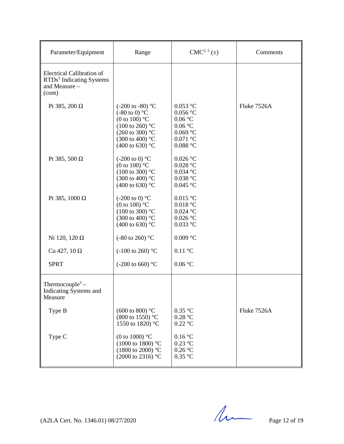| Parameter/Equipment                                                                                 | Range                                                                                                                                                                                                     | $CMC2, 5(\pm)$                                                                           | Comments    |
|-----------------------------------------------------------------------------------------------------|-----------------------------------------------------------------------------------------------------------------------------------------------------------------------------------------------------------|------------------------------------------------------------------------------------------|-------------|
| <b>Electrical Calibration of</b><br>RTDs <sup>3</sup> Indicating Systems<br>and Measure -<br>(cont) |                                                                                                                                                                                                           |                                                                                          |             |
| Pt 385, 200 $\Omega$                                                                                | $(-200 \text{ to } -80)$ °C<br>$(-80 \text{ to } 0)$ °C<br>(0 to 100) $^{\circ}$ C<br>$(100 \text{ to } 260)$ °C<br>$(260 \text{ to } 300)$ °C<br>$(300 \text{ to } 400)$ °C<br>(400 to 630) $^{\circ}$ C | $0.053$ °C<br>$0.056$ °C<br>0.06 °C<br>0.06 °C<br>$0.069$ °C<br>$0.071$ °C<br>$0.088$ °C | Fluke 7526A |
| Pt 385, 500 $\Omega$                                                                                | $(-200 \text{ to } 0)$ °C<br>(0 to 100) $^{\circ}$ C<br>$(100 \text{ to } 300)$ °C<br>(300 to 400) °C<br>(400 to 630) $^{\circ}$ C                                                                        | $0.026$ °C<br>$0.028$ °C<br>$0.034$ °C<br>$0.038$ °C<br>$0.045$ °C                       |             |
| Pt 385, 1000 Ω                                                                                      | $(-200 \text{ to } 0)$ °C<br>(0 to 100) $\mathrm{^{\circ}C}$<br>$(100 \text{ to } 300)$ °C<br>(300 to 400) °C<br>(400 to 630) $^{\circ}$ C                                                                | $0.015$ °C<br>$0.018$ °C<br>$0.024$ °C<br>$0.026\ ^{\circ}\textrm{C}$<br>$0.033$ °C      |             |
| Ni 120, 120 $\Omega$                                                                                | $(-80 \text{ to } 260)$ °C                                                                                                                                                                                | $0.009\ ^{\circ}\textrm{C}$                                                              |             |
| Cu 427, 10 $\Omega$                                                                                 | $(-100 \text{ to } 260)$ °C                                                                                                                                                                               | $0.11$ °C                                                                                |             |
| <b>SPRT</b>                                                                                         | $(-200 \text{ to } 660)$ °C                                                                                                                                                                               | $0.06\ ^{\circ}\textrm{C}$                                                               |             |
| Thermocouple <sup>3</sup> –<br>Indicating Systems and<br>Measure                                    |                                                                                                                                                                                                           |                                                                                          |             |
| Type B                                                                                              | $(600 \text{ to } 800)$ °C<br>(800 to 1550) °C<br>1550 to 1820) °C                                                                                                                                        | $0.35$ °C<br>0.28 °C<br>$0.22$ °C                                                        | Fluke 7526A |
| Type C                                                                                              | (0 to 1000) $^{\circ}$ C<br>$(1000 \text{ to } 1800)$ °C<br>$(1800 \text{ to } 2000)$ °C<br>$(2000 \text{ to } 2316)$ °C                                                                                  | $0.16\ ^{\circ}\textrm{C}$<br>$0.23$ °C<br>0.26 °C<br>$0.35~^\circ\mathrm{C}$            |             |

 $(A2LA$  Cert. No. 1346.01) 08/27/2020 Page 12 of 19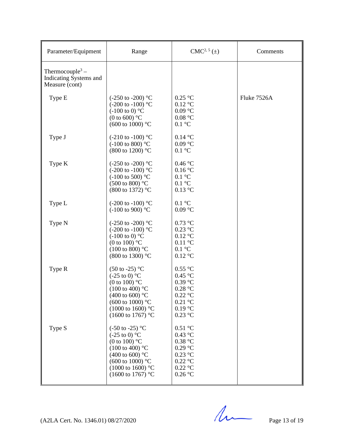| Parameter/Equipment                                                     | Range                                                                                                                                                                                                                                       | $CMC2, 5(\pm)$                                                                                                                                   | Comments    |
|-------------------------------------------------------------------------|---------------------------------------------------------------------------------------------------------------------------------------------------------------------------------------------------------------------------------------------|--------------------------------------------------------------------------------------------------------------------------------------------------|-------------|
| Thermocouple <sup>3</sup> –<br>Indicating Systems and<br>Measure (cont) |                                                                                                                                                                                                                                             |                                                                                                                                                  |             |
| Type E                                                                  | $(-250 \text{ to } -200)$ °C<br>$(-200 \text{ to } -100)$ °C<br>$(-100 \text{ to } 0)$ °C<br>(0 to 600) $\mathrm{^{\circ}C}$<br>(600 to 1000) $^{\circ}$ C                                                                                  | $0.25$ °C<br>$0.12$ °C<br>$0.09$ °C<br>0.08 °C<br>$0.1\ ^{\circ}\textrm{C}$                                                                      | Fluke 7526A |
| Type J                                                                  | $(-210 \text{ to } -100)$ °C<br>$(-100 \text{ to } 800)$ °C<br>(800 to 1200) °C                                                                                                                                                             | $0.14\text{ °C}$<br>$0.09$ °C<br>$0.1\ ^{\circ}\textrm{C}$                                                                                       |             |
| Type K                                                                  | $(-250 \text{ to } -200)$ °C<br>$(-200 \text{ to } -100)$ °C<br>$(-100 \text{ to } 500)$ °C<br>$(500 \text{ to } 800)$ °C<br>(800 to 1372) °C                                                                                               | $0.46\,^{\circ}\mathrm{C}$<br>0.16 °C<br>$0.1 \text{ }^{\circ}C$<br>$0.1 \text{ }^{\circ}C$<br>$0.13$ °C                                         |             |
| Type L                                                                  | $(-200 \text{ to } -100)$ °C<br>$(-100 \text{ to } 900)$ °C                                                                                                                                                                                 | $0.1 \text{ }^{\circ}C$<br>$0.09$ °C                                                                                                             |             |
| Type N                                                                  | $(-250 \text{ to } -200)$ °C<br>$(-200 \text{ to } -100)$ °C<br>$(-100 \text{ to } 0)$ °C<br>(0 to 100) $^{\circ}$ C<br>$(100 \text{ to } 800)$ °C<br>(800 to 1300) °C                                                                      | $0.73$ °C<br>$0.23$ °C<br>$0.12\ ^{\circ}\textrm{C}$<br>$0.11\ ^{\circ}\textrm{C}$<br>$0.1 \text{ }^{\circ}C$<br>$0.12$ °C                       |             |
| Type R                                                                  | $(50 \text{ to } -25)$ °C<br>$(-25 \text{ to } 0)$ °C<br>(0 to 100) $^{\circ}$ C<br>$(100 \text{ to } 400)$ °C<br>(400 to 600) $^{\circ}$ C<br>(600 to 1000) $^{\circ}$ C<br>$(1000 \text{ to } 1600)$ °C<br>$(1600 \text{ to } 1767)$ °C   | $0.55$ °C<br>0.45 °C<br>$0.39$ °C<br>0.28 °C<br>$0.22\ ^{\circ}\textrm{C}$<br>$0.21\text{ °C}$<br>0.19 °C<br>$0.23$ °C                           |             |
| Type S                                                                  | $(-50 \text{ to } -25)$ °C<br>$(-25 \text{ to } 0)$ °C<br>(0 to 100) $^{\circ}$ C<br>$(100 \text{ to } 400)$ °C<br>(400 to 600) $^{\circ}$ C<br>$(600 \text{ to } 1000)$ °C<br>$(1000 \text{ to } 1600)$ °C<br>$(1600 \text{ to } 1767)$ °C | $0.51\ ^{\circ}\textrm{C}$<br>$0.43~^\circ\mathrm{C}$<br>0.38 °C<br>$0.29\ ^{\circ}\textrm{C}$<br>$0.23$ °C<br>$0.22$ °C<br>$0.22$ °C<br>0.26 °C |             |

 $(A2LA$  Cert. No. 1346.01) 08/27/2020 Page 13 of 19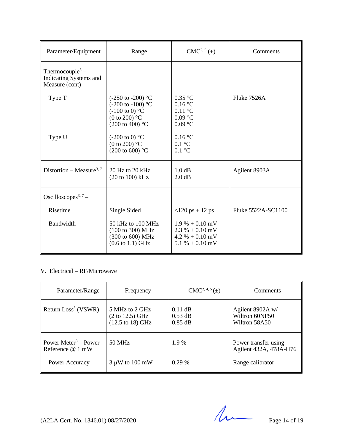| Parameter/Equipment                                                     | Range                                                                                                                                                      | $CMC2, 5(\pm)$                                                                   | Comments           |
|-------------------------------------------------------------------------|------------------------------------------------------------------------------------------------------------------------------------------------------------|----------------------------------------------------------------------------------|--------------------|
| Thermocouple <sup>3</sup> –<br>Indicating Systems and<br>Measure (cont) |                                                                                                                                                            |                                                                                  |                    |
| Type T                                                                  | $(-250 \text{ to } -200)$ °C<br>$(-200 \text{ to } -100)$ °C<br>$(-100 \text{ to } 0)$ °C<br>(0 to 200) $\mathrm{^{\circ}C}$<br>$(200 \text{ to } 400)$ °C | $0.35$ °C<br>0.16 °C<br>$0.11\text{ °C}$<br>$0.09$ °C<br>$0.09$ °C               | Fluke 7526A        |
| Type U                                                                  | $(-200 \text{ to } 0)$ °C<br>(0 to 200) $^{\circ}$ C<br>$(200 \text{ to } 600)$ °C                                                                         | 0.16 °C<br>$0.1 \text{ }^{\circ}C$<br>$0.1 \text{ }^{\circ}C$                    |                    |
| Distortion – Measure <sup>3, 7</sup>                                    | 20 Hz to 20 kHz<br>(20 to 100) kHz                                                                                                                         | 1.0 dB<br>2.0 dB                                                                 | Agilent 8903A      |
| Oscilloscopes <sup>3, 7</sup> –                                         |                                                                                                                                                            |                                                                                  |                    |
| Risetime                                                                | Single Sided                                                                                                                                               | $<120 \text{ ps } \pm 12 \text{ ps}$                                             | Fluke 5522A-SC1100 |
| Bandwidth                                                               | 50 kHz to 100 MHz<br>(100 to 300) MHz<br>(300 to 600) MHz<br>$(0.6 \text{ to } 1.1) \text{ GHz}$                                                           | $1.9\% + 0.10$ mV<br>$2.3\% + 0.10$ mV<br>$4.2 % + 0.10$ mV<br>$5.1\% + 0.10$ mV |                    |

### V. Electrical – RF/Microwave

| Parameter/Range                                       | Frequency                                                                | $CMC2, 4, 5(\pm)$                   | Comments                                            |
|-------------------------------------------------------|--------------------------------------------------------------------------|-------------------------------------|-----------------------------------------------------|
| Return $Loss3$ (VSWR)                                 | 5 MHz to 2 GHz<br>$(2 \text{ to } 12.5) \text{ GHz}$<br>(12.5 to 18) GHz | $0.11$ dB<br>$0.53$ dB<br>$0.85$ dB | Agilent 8902A w/<br>Wiltron 60NF50<br>Wiltron 58A50 |
| Power Meter <sup>3</sup> – Power<br>Reference $@1$ mW | 50 MHz                                                                   | 1.9 %                               | Power transfer using<br>Agilent 432A, 478A-H76      |
| Power Accuracy                                        | $3 \mu W$ to 100 mW                                                      | $0.29\%$                            | Range calibrator                                    |

 $(A2LA$  Cert. No. 1346.01) 08/27/2020 Page 14 of 19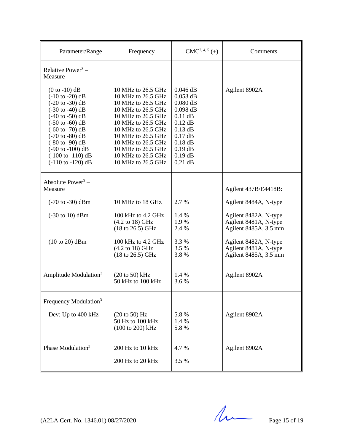| Parameter/Range                                                                                                                                                                                                                                                                                                                                                                                                                                        | Frequency                                                                                                                                                                                                                                                            | $CMC2, 4, 5(\pm)$                                                                                                                                            | Comments                                                                |
|--------------------------------------------------------------------------------------------------------------------------------------------------------------------------------------------------------------------------------------------------------------------------------------------------------------------------------------------------------------------------------------------------------------------------------------------------------|----------------------------------------------------------------------------------------------------------------------------------------------------------------------------------------------------------------------------------------------------------------------|--------------------------------------------------------------------------------------------------------------------------------------------------------------|-------------------------------------------------------------------------|
| Relative Power <sup>3</sup> –<br>Measure                                                                                                                                                                                                                                                                                                                                                                                                               |                                                                                                                                                                                                                                                                      |                                                                                                                                                              |                                                                         |
| $(0 to -10)$ dB<br>$(-10 \text{ to } -20) \text{ dB}$<br>$(-20 \text{ to } -30) \text{ dB}$<br>$(-30 \text{ to } -40) \text{ dB}$<br>$(-40 \text{ to } -50) \text{ dB}$<br>$(-50 \text{ to } -60) \text{ dB}$<br>$(-60 \text{ to } -70) \text{ dB}$<br>$(-70 \text{ to } -80) \text{ dB}$<br>$(-80 \text{ to } -90) \text{ dB}$<br>$(-90 \text{ to } -100) \text{ dB}$<br>$(-100 \text{ to } -110) \text{ dB}$<br>$(-110 \text{ to } -120) \text{ dB}$ | 10 MHz to 26.5 GHz<br>10 MHz to 26.5 GHz<br>10 MHz to 26.5 GHz<br>10 MHz to 26.5 GHz<br>10 MHz to 26.5 GHz<br>10 MHz to 26.5 GHz<br>10 MHz to 26.5 GHz<br>10 MHz to 26.5 GHz<br>10 MHz to 26.5 GHz<br>10 MHz to 26.5 GHz<br>10 MHz to 26.5 GHz<br>10 MHz to 26.5 GHz | $0.046$ dB<br>$0.053$ dB<br>$0.080$ dB<br>$0.098$ dB<br>$0.11$ dB<br>$0.12$ dB<br>$0.13$ dB<br>$0.17$ dB<br>$0.18$ dB<br>$0.19$ dB<br>$0.19$ dB<br>$0.21$ dB | Agilent 8902A                                                           |
| Absolute Power <sup>3</sup> –<br>Measure                                                                                                                                                                                                                                                                                                                                                                                                               |                                                                                                                                                                                                                                                                      |                                                                                                                                                              | Agilent 437B/E4418B:                                                    |
| $(-70 \text{ to } -30) \text{ dBm}$                                                                                                                                                                                                                                                                                                                                                                                                                    | 10 MHz to 18 GHz                                                                                                                                                                                                                                                     | 2.7 %                                                                                                                                                        | Agilent 8484A, N-type                                                   |
| $(-30 \text{ to } 10) \text{ dBm}$                                                                                                                                                                                                                                                                                                                                                                                                                     | 100 kHz to 4.2 GHz<br>$(4.2 \text{ to } 18) \text{ GHz}$<br>$(18 \text{ to } 26.5) \text{ GHz}$                                                                                                                                                                      | 1.4 %<br>1.9%<br>2.4 %                                                                                                                                       | Agilent 8482A, N-type<br>Agilent 8481A, N-type<br>Agilent 8485A, 3.5 mm |
| $(10 to 20)$ dBm                                                                                                                                                                                                                                                                                                                                                                                                                                       | 100 kHz to 4.2 GHz<br>$(4.2 \text{ to } 18) \text{ GHz}$<br>$(18 \text{ to } 26.5) \text{ GHz}$                                                                                                                                                                      | 3.3 %<br>3.5 %<br>3.8%                                                                                                                                       | Agilent 8482A, N-type<br>Agilent 8481A, N-type<br>Agilent 8485A, 3.5 mm |
| Amplitude Modulation <sup>3</sup>                                                                                                                                                                                                                                                                                                                                                                                                                      | $(20 \text{ to } 50) \text{ kHz}$<br>50 kHz to 100 kHz                                                                                                                                                                                                               | 1.4 %<br>3.6 %                                                                                                                                               | Agilent 8902A                                                           |
| Frequency Modulation <sup>3</sup>                                                                                                                                                                                                                                                                                                                                                                                                                      |                                                                                                                                                                                                                                                                      |                                                                                                                                                              |                                                                         |
| Dev: Up to 400 kHz                                                                                                                                                                                                                                                                                                                                                                                                                                     | $(20 \text{ to } 50)$ Hz<br>50 Hz to 100 kHz<br>(100 to 200) kHz                                                                                                                                                                                                     | 5.8%<br>1.4 %<br>5.8%                                                                                                                                        | Agilent 8902A                                                           |
| Phase Modulation <sup>3</sup>                                                                                                                                                                                                                                                                                                                                                                                                                          | 200 Hz to 10 kHz<br>200 Hz to 20 kHz                                                                                                                                                                                                                                 | 4.7 %<br>3.5 %                                                                                                                                               | Agilent 8902A                                                           |

 $(A2LA$  Cert. No. 1346.01) 08/27/2020 Page 15 of 19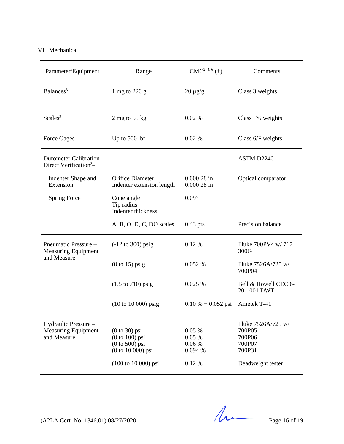## VI. Mechanical

| Parameter/Equipment                                               | Range                                                                                                 | $CMC2, 4, 6(\pm)$                            | Comments                                                                        |
|-------------------------------------------------------------------|-------------------------------------------------------------------------------------------------------|----------------------------------------------|---------------------------------------------------------------------------------|
| Balances <sup>3</sup>                                             | 1 mg to 220 g                                                                                         | $20 \mu g/g$                                 | Class 3 weights                                                                 |
| Scales <sup>3</sup>                                               | 2 mg to $55$ kg                                                                                       | 0.02%                                        | Class F/6 weights                                                               |
| <b>Force Gages</b>                                                | Up to 500 lbf                                                                                         | 0.02%                                        | Class 6/F weights                                                               |
| Durometer Calibration -<br>Direct Verification $3-$               |                                                                                                       |                                              | ASTM D2240                                                                      |
| Indenter Shape and<br>Extension                                   | Orifice Diameter<br>Indenter extension length                                                         | $0.00028$ in<br>$0.00028$ in                 | Optical comparator                                                              |
| <b>Spring Force</b>                                               | Cone angle<br>Tip radius<br>Indenter thickness                                                        | $0.09^\circ$                                 |                                                                                 |
|                                                                   | A, B, O, D, C, DO scales                                                                              | $0.43$ pts                                   | Precision balance                                                               |
| Pneumatic Pressure -<br><b>Measuring Equipment</b>                | $(-12 \text{ to } 300) \text{ psig}$                                                                  | 0.12 %                                       | Fluke 700PV4 w/717<br>300G                                                      |
| and Measure                                                       | $(0 \text{ to } 15)$ psig                                                                             | 0.052 %                                      | Fluke 7526A/725 w/<br>700P04                                                    |
|                                                                   | $(1.5 \text{ to } 710) \text{ psig}$                                                                  | 0.025%                                       | Bell & Howell CEC 6-<br>201-001 DWT                                             |
|                                                                   | $(10 to 10 000)$ psig                                                                                 | $0.10 \% + 0.052$ psi                        | Ametek T-41                                                                     |
| Hydraulic Pressure -<br><b>Measuring Equipment</b><br>and Measure | $(0 to 30)$ psi<br>$(0 to 100)$ psi<br>$(0 to 500)$ psi<br>$(0 to 10 000)$ psi<br>(100 to 10 000) psi | 0.05%<br>0.05%<br>0.06%<br>0.094 %<br>0.12 % | Fluke 7526A/725 w/<br>700P05<br>700P06<br>700P07<br>700P31<br>Deadweight tester |

 $(A2LA$  Cert. No. 1346.01) 08/27/2020 Page 16 of 19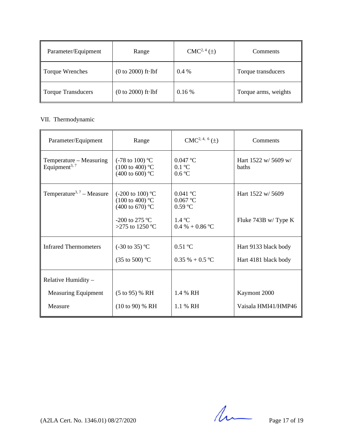| Parameter/Equipment | Range                        | $CMC2, 4(\pm)$ | Comments             |
|---------------------|------------------------------|----------------|----------------------|
| Torque Wrenches     | $(0 to 2000)$ ft $\cdot$ lbf | $0.4\%$        | Torque transducers   |
| Torque Transducers  | $(0 to 2000)$ ft $\cdot$ lbf | $0.16\%$       | Torque arms, weights |

# VII. Thermodynamic

| Parameter/Equipment                                  | Range                                                                                 | $CMC2, 4, 6(\pm)$                   | Comments                             |
|------------------------------------------------------|---------------------------------------------------------------------------------------|-------------------------------------|--------------------------------------|
| Temperature – Measuring<br>Equipment <sup>3, 7</sup> | $(-78 \text{ to } 100)$ °C<br>$(100 \text{ to } 400)$ °C<br>(400 to 600) $^{\circ}$ C | $0.047$ °C<br>$0.1$ °C<br>0.6 °C    | Hart 1522 w/ 5609 w/<br><b>baths</b> |
| Temperature <sup>3, 7</sup> – Measure                | $(-200 \text{ to } 100)$ °C<br>$(100 \text{ to } 400)$ °C<br>(400 to 670) °C          | $0.041$ °C<br>0.067 °C<br>$0.59$ °C | Hart 1522 w/ 5609                    |
|                                                      | $-200$ to 275 °C<br>>275 to 1250 °C                                                   | 1.4 °C<br>$0.4\% + 0.86\degree C$   | Fluke 743B w/Type K                  |
| <b>Infrared Thermometers</b>                         | $(-30 \text{ to } 35)$ °C                                                             | $0.51 \text{ °C}$                   | Hart 9133 black body                 |
|                                                      | (35 to 500) $^{\circ}$ C                                                              | $0.35 \% + 0.5 °C$                  | Hart 4181 black body                 |
| Relative Humidity -                                  |                                                                                       |                                     |                                      |
| <b>Measuring Equipment</b>                           | $(5 \text{ to } 95)$ % RH                                                             | 1.4 % RH                            | Kaymont 2000                         |
| Measure                                              | $(10 \text{ to } 90)$ % RH                                                            | 1.1 % RH                            | Vaisala HMI41/HMP46                  |

 $(A2LA$  Cert. No. 1346.01) 08/27/2020 Page 17 of 19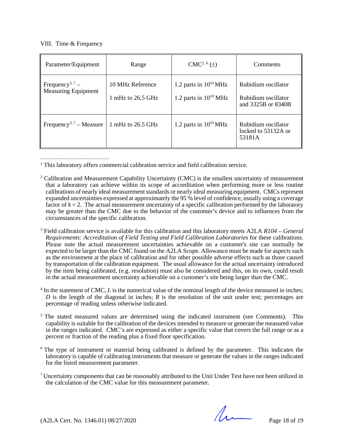#### VIII. Time & Frequency

 $\overline{\phantom{a}}$  , and the set of the set of the set of the set of the set of the set of the set of the set of the set of the set of the set of the set of the set of the set of the set of the set of the set of the set of the s

| Parameter/Equipment                                | Range                                 | $CMC2, 6(\pm)$                                           | Comments                                                         |
|----------------------------------------------------|---------------------------------------|----------------------------------------------------------|------------------------------------------------------------------|
| Frequency <sup>3, 7</sup> –<br>Measuring Equipment | 10 MHz Reference<br>1 mHz to 26.5 GHz | 1.2 parts in $10^{10}$ MHz<br>1.2 parts in $10^{10}$ MHz | Rubidium oscillator<br>Rubidium oscillator<br>and 3325B or 8340B |
| Frequency <sup>3, 7</sup> – Measure                | 1 mHz to 26.5 GHz                     | 1.2 parts in $10^{10}$ MHz                               | Rubidium oscillator<br>locked to 53132A or<br>53181A             |

<sup>1</sup> This laboratory offers commercial calibration service and field calibration service.

- <sup>3</sup> Field calibration service is available for this calibration and this laboratory meets A2LA *R104 – General Requirements: Accreditation of Field Testing and Field Calibration Laboratories* for these calibrations. Please note the actual measurement uncertainties achievable on a customer's site can normally be expected to be larger than the CMC found on the A2LA Scope. Allowance must be made for aspects such as the environment at the place of calibration and for other possible adverse effects such as those caused by transportation of the calibration equipment. The usual allowance for the actual uncertainty introduced by the item being calibrated, (e.g. resolution) must also be considered and this, on its own, could result in the actual measurement uncertainty achievable on a customer's site being larger than the CMC.
- <sup>4</sup> In the statement of CMC, *L* is the numerical value of the nominal length of the device measured in inches; *D* is the length of the diagonal in inches; *R* is the resolution of the unit under test; percentages are percentage of reading unless otherwise indicated.
- <sup>5</sup> The stated measured values are determined using the indicated instrument (see Comments). This capability is suitable for the calibration of the devices intended to measure or generate the measured value in the ranges indicated. CMC's are expressed as either a specific value that covers the full range or as a percent or fraction of the reading plus a fixed floor specification.
- <sup>6</sup> The type of instrument or material being calibrated is defined by the parameter. This indicates the laboratory is capable of calibrating instruments that measure or generate the values in the ranges indicated for the listed measurement parameter.
- <sup>7</sup> Uncertainty components that can be reasonably attributed to the Unit Under Test have not been utilized in the calculation of the CMC value for this measurement parameter.

 $(A2LA$  Cert. No. 1346.01) 08/27/2020

<sup>&</sup>lt;sup>2</sup> Calibration and Measurement Capability Uncertainty (CMC) is the smallest uncertainty of measurement that a laboratory can achieve within its scope of accreditation when performing more or less routine calibrations of nearly ideal measurement standards or nearly ideal measuring equipment. CMCsrepresent expanded uncertainties expressed at approximately the 95 % level of confidence, usually using a coverage factor of  $k = 2$ . The actual measurement uncertainty of a specific calibration performed by the laboratory may be greater than the CMC due to the behavior of the customer's device and to influences from the circumstances of the specific calibration.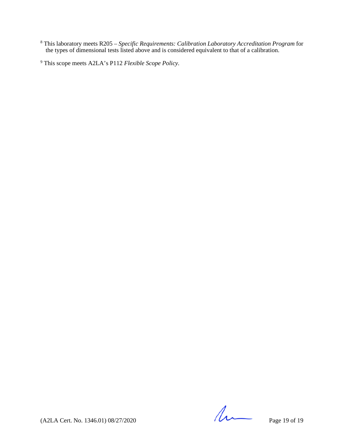<sup>8</sup> This laboratory meets R205 *– Specific Requirements: Calibration Laboratory Accreditation Program* for the types of dimensional tests listed above and is considered equivalent to that of a calibration.

<sup>9</sup> This scope meets A2LA's P112 *Flexible Scope Policy.*

 $(A2LA$  Cert. No. 1346.01) 08/27/2020 Page 19 of 19